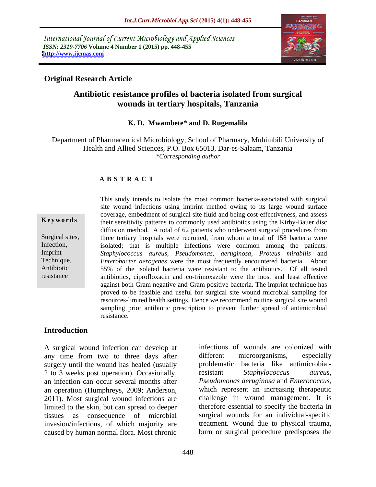International Journal of Current Microbiology and Applied Sciences *ISSN: 2319-7706* **Volume 4 Number 1 (2015) pp. 448-455 <http://www.ijcmas.com>**



# **Original Research Article**

# **Antibiotic resistance profiles of bacteria isolated from surgical wounds in tertiary hospitals, Tanzania**

### **K. D. Mwambete\* and D. Rugemalila**

Department of Pharmaceutical Microbiology, School of Pharmacy, Muhimbili University of Health and Allied Sciences, P.O. Box 65013, Dar-es-Salaam, Tanzania *\*Corresponding author* 

## **A B S T R A C T**

resistance

This study intends to isolate the most common bacteria-associated with surgical site wound infections using imprint method owing to its large wound surface coverage, embedment of surgical site fluid and being cost-effectiveness, and assess **Keywords** their sensitivity patterns to commonly used antibiotics using the Kirby-Bauer disc diffusion method. A total of 62 patients who underwent surgical procedures from Surgical sites, three tertiary hospitals were recruited, from whom a total of 158 bacteria were Infection, isolated; that is multiple infections were common among the patients. *Staphylococcus aureus*, *Pseudomonas, aeruginosa, Proteus mirabilis* and Imprint *Enterobacter aerogenes* were the most frequently encountered bacteria. About Technique, 55% of the isolated bacteria were resistant to the antibiotics. Of all tested Antibiotic antibiotics, ciprofloxacin and co-trimoxazole were the most and least effective against both Gram negative and Gram positive bacteria. The imprint technique has proved to be feasible and useful for surgical site wound microbial sampling for resources-limited health settings. Hence we recommend routine surgical site wound sampling prior antibiotic prescription to prevent further spread of antimicrobial resistance.

### **Introduction**

A surgical wound infection can develop at any time from two to three days after different microorganisms, especially surgery until the wound has healed (usually 2 to 3 weeks post operation). Occasionally, estimated by the staphylococcus aureus, an infection can occur several months after *Pseudomonas aeruginosa* and *Enterococcus*,<br>an operation (Humphreys, 2009: Anderson, which represent an increasing therapeutic an operation (Humphreys, 2009; Anderson, 2011). Most surgical wound infections are limited to the skin, but can spread to deeper tissues as consequence of microbial surgical wounds for an individual-specific invasion/infections, of which majority are caused by human normal flora. Most chronic burn or surgical procedure predisposes the

infections of wounds are colonized with different microorganisms, especially problematic bacteria like antimicrobialresistant *Staphylococcus aureus*, *Pseudomonas aeruginosa* and *Enterococcus*, which represent an increasing therapeutic challenge in wound management. It is therefore essential to specify the bacteria in treatment. Wound due to physical trauma,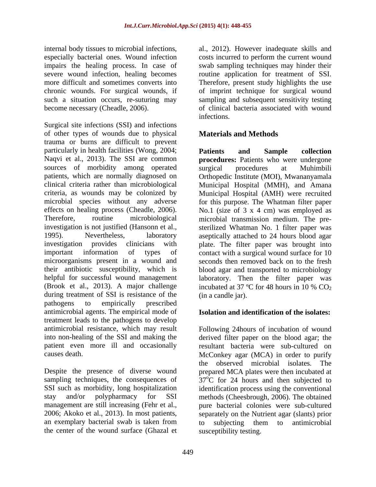impairs the healing process. In case of

Surgical site infections (SSI) and infections of other types of wounds due to physical trauma or burns are difficult to prevent particularly in health facilities (Wong, 2004; Patients and Sample collection Naqvi et al., 2013). The SSI are common **procedures:** Patients who were undergone sources of morbidity among operated surgical procedures at Muhimbili patients, which are normally diagnosed on Orthopedic Institute (MOI), Mwananyamala clinical criteria rather than microbiological Municipal Hospital (MMH), and Amana criteria, as wounds may be colonized by Municipal Hospital (AMH) were recruited microbial species without any adverse for this purpose. The Whatman filter paper effects on healing process (Cheadle, 2006). No.1 (size of 3 x 4 cm) was employed as Therefore, routine microbiological microbial transmission medium. The pre investigation is not justified (Hansonn et al., sterilized Whatman No. 1 filter paper was 1995). Nevertheless, laboratory aseptically attached to 24 hours blood agar investigation provides clinicians with plate. The filter paper was brought into important information of types of contact with a surgical wound surface for 10 microorganisms present in a wound and seconds then removed back on to the fresh their antibiotic susceptibility, which is helpful for successful wound management laboratory. Then the filter paper was (Brook et al., 2013). A major challenge incubated at 37 °C for 48 hours in 10 %  $CO<sub>2</sub>$ during treatment of SSI is resistance of the pathogens to empirically prescribed antimicrobial agents. The empirical mode of treatment leads to the pathogens to develop antimicrobial resistance, which may result Following 24 hours of incubation of wound into non-healing of the SSI and making the derived filter paper on the blood agar; the patient even more ill and occasionally resultant bacteria were sub-cultured on

the center of the wound surface (Ghazal et

internal body tissues to microbial infections, al., 2012). However inadequate skills and especially bacterial ones. Wound infection costs incurred to perform the current wound severe wound infection, healing becomes routine application for treatment of SSI. more difficult and sometimes converts into Therefore, present study highlights the use chronic wounds. For surgical wounds, if ofimprint technique for surgical wound such a situation occurs, re-suturing may sampling and subsequent sensitivity testing become necessary (Cheadle, 2006). of clinical bacteria associated with wound swab sampling techniques may hinder their infections.

# **Materials and Methods**

**Patients and Sample collection** surgical procedures at Muhimbili blood agar and transported to microbiology (in a candle jar).

## **Isolation and identification of the isolates:**

causes death. McConkey agar (MCA) in order to purify Despite the presence of diverse wound prepared MCA plates were then incubated at sampling techniques, the consequences of  $37^{\circ}$ C for 24 hours and then subjected to SSI such as morbidity, long hospitalization identification process using the conventional stay and/or polypharmacy for SSI methods (Cheesbrough, 2006). The obtained management are still increasing (Fehr et al., pure bacterial colonies were sub-cultured 2006; Akoko et al., 2013). In most patients, separately on the Nutrient agar (slants) prior an exemplary bacterial swab is taken from to subjecting them to antimicrobial the observed microbial isolates. The susceptibility testing.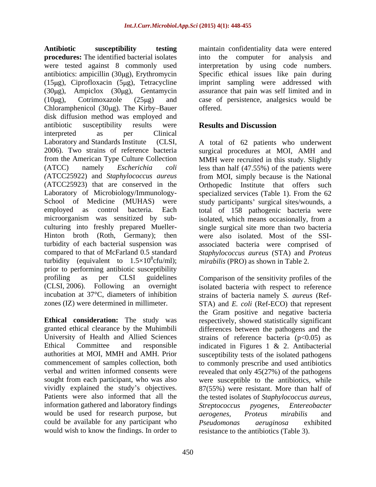**Antibiotic susceptibility testing** maintain confidentiality data were entered **procedures:** The identified bacterial isolates into the computer for analysis and were tested against 8 commonly used interpretation by using code numbers. antibiotics: ampicillin (30µg), Erythromycin Specific ethical issues like pain during (15µg), Ciprofloxacin (5µg), Tetracycline imprint sampling were addressed with  $(30\mu g)$ , Ampiclox  $(30\mu g)$ , Gentamycin assurance that pain was self limited and in ( $10\mu$ g), Cotrimoxazole ( $25\mu$ g) and case of persistence, analgesics would be Chloramphenicol  $(30\mu g)$ . The Kirby-Bauer offered. disk diffusion method was employed and<br>antibiotic susceptibility results were antibiotic susceptibility results were **Results and Discussion** interpreted as per Clinical Laboratory and Standards Institute (CLSI,  $\overline{A}$  total of 62 patients who underwent 2006). Two strains of reference bacteria surgical procedures at MOI, AMH and from the American Type Culture Collection MMH were recruited in this study. Slightly (ATCC) namely *Escherichia coli* less than half (47.55%) of the patients were *(*ATCC25922) and *Staphylococcus aureus* from MOI, simply because is the National (ATCC25923) that are conserved in the Laboratory of Microbiology/Immunology-<br>specialized services (Table 1). From the 62 School of Medicine (MUHAS) were study participants' surgical sites/wounds, a employed as control bacteria. Each total of 158 pathogenic bacteria were microorganism was sensitized by sub-<br>culturing into freshly prepared Mueller-<br>single surgical site more than two bacteria Hinton broth (Roth, Germany); then turbidity of each bacterial suspension was associated bacteria were comprised of compared to that of McFarland 0.5 standard *Staphylococcus aureus* (STA) and *Proteus*  turbidity (equivalent to  $1.5 \times 10^8$ cfu/ml); prior to performing antibiotic susceptibility profiling as per CLSI guidelines Comparison of the sensitivity profiles of the (CLSI, 2006). Following an overnight isolated bacteria with respect to reference incubation at 37°C, diameters of inhibition strains of bacteria namely *S. aureus* (Ref zones (IZ) were determined in millimeter. STA) and *E. coli* (Ref-ECO) that represent

**Ethical consideration:** The study was respectively, showed statistically significant granted ethical clearance by the Muhimbili differences between the pathogens and the University of Health and Allied Sciences strains of reference bacteria (p<0.05) as Ethical Committee and responsible indicated in Figures 1 & 2. Antibacterial authorities at MOI, MMH and AMH. Prior susceptibility tests of the isolated pathogens commencement of samples collection, both to commonly prescribe and used antibiotics verbal and written informed consents were revealed that only 45(27%) of the pathogens sought from each participant, who was also were susceptible to the antibiotics, while vividly explained the study's objectives. 87(55%) were resistant. More than half of Patients were also informed that all the tested isolates of *Staphylococcus aureus*, information gathered and laboratory findings Streptococcus pyogenes, Entereobacter would be used for research purpose, but aerogenes, Proteus mirabilis and could be available for any participant who *Pseudomonas aeruginosa* exhibited would wish to know the findings. In order to

offered. The contract of the contract of the contract of the contract of the contract of the contract of the contract of the contract of the contract of the contract of the contract of the contract of the contract of the c

# **Results and Discussion**

8 cfu/ml); *mirabilis* (PRO) as shown in Table 2. Orthopedic Institute that offers isolated, which means occasionally, from a single surgical site more than two bacteria were also isolated. Most of the SSI-

the Gram positive and negative bacteria *Streptococcus pyogenes, Entereobacter aerogenes, Proteus mirabilis* and *Pseudomonas aeruginosa* exhibited resistance to the antibiotics (Table 3).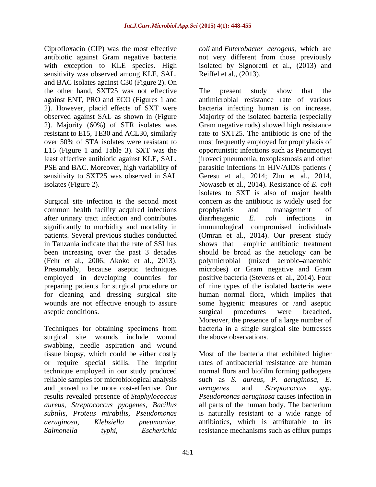Ciprofloxacin (CIP) was the most effective *coli* and *Enterobacter aerogens,* which are antibiotic against Gram negative bacteria hot very different from those previously with exception to KLE species. High isolated by Signoretti et al., (2013) and sensitivity was observed among KLE, SAL, and BAC isolates against C30 (Figure 2). On the other hand, SXT25 was not effective against ENT, PRO and ECO (Figures 1 and 2). However, placid effects of SXT were 2). Majority (60%) of STR isolates was

common health facility acquired infections by prophylaxis and management of after urinary tract infection and contributes diarrheagenic E. coli infections in in Tanzania indicate that the rate of SSI has aseptic conditions. The surgical procedures were breached.

surgical site wounds include wound swabbing, needle aspiration and wound tissue biopsy, which could be either costly or require special skills. The imprint and proved to be more cost-effective. Our *aerogenes* and *Streptococcus* spp. *Salmonella typhi, Escherichia* resistance mechanisms such as efflux pumps

Reiffel et al., (2013).

observed against SAL as shown in (Figure Majority of the isolated bacteria (especially resistant to E15, TE30 and ACL30, similarly rate to SXT25. The antibiotic is one of the over 50% of STA isolates were resistant to most frequently employed for prophylaxis of E15 (Figure 1 and Table 3). SXT was the opportunistic infections such as Pneumocyst least effective antibiotic against KLE, SAL, jiroveci pneumonia, toxoplasmosis and other PSE and BAC. Moreover, high variability of parasitic infections in HIV/AIDS patients ( sensitivity to SXT25 was observed in SAL Geresu et al., 2014; Zhu et al., 2014, isolates (Figure 2). Nowaseb et al., 2014). Resistance of *E. coli* Surgical site infection is the second most concern as the antibiotic is widely used for significantly to morbidity and mortality in immunological compromised individuals patients. Several previous studies conducted (Omran et al., 2014). Our present study been increasing over the past 3 decades should be broad as the aetiology can be (Fehr et al., 2006; Akoko et al., 2013). polymicrobial (mixed aerobic anaerobic Presumably, because aseptic techniques microbes) or Gram negative and Gram employed in developing countries for positive bacteria (Stevens et al., 2014). Four preparing patients for surgical procedure or of nine types of the isolated bacteria were for cleaning and dressing surgical site human normal flora, which implies that wounds are not effective enough to assure some hygienic measures or /and aseptic Techniques for obtaining specimens from bacteria in a single surgical site buttresses The present study show that the antimicrobial resistance rate of various bacteria infecting human is on increase. Gram negative rods) showed high resistance isolates to SXT is also of major health prophylaxis and management of diarrheagenic *E. coli* infections in empiric antibiotic treatment surgical procedures were breached. Moreover, the presence of a large number of the above observations.

technique employed in our study produced normal flora and biofilm forming pathogens reliable samples for microbiological analysis such as *S. aureus, P. aeruginosa, E.* results revealed presence of *Staphylococcus Pseudomonas aeruginosa* causes infection in *aureus, Streptococcus pyogenes, Bacillus* all parts of the human body. The bacterium *subtilis, Proteus mirabilis, Pseudomonas* is naturally resistant to a wide range of *aeruginosa, Klebsiella pneumoniae,* antibiotics, which is attributable to its Most of the bacteria that exhibited higher rates of antibacterial resistance are human *aerogenes* and *Streptococcus spp*.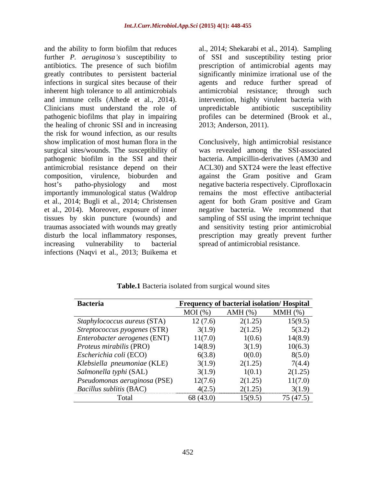and the ability to form biofilm that reduces al., 2014; Shekarabi et al., 2014). Sampling further *P. aeruginosa s* susceptibility to of SSI and susceptibility testing prior antibiotics. The presence of such biofilm greatly contributes to persistent bacterial significantly minimize irrational use of the infections in surgical sites because of their agents and reduce further spread of inherent high tolerance to all antimicrobials antimicrobial resistance; through such and immune cells (Alhede et al., 2014). intervention, highly virulent bacteria with Clinicians must understand the role of unpredictable antibiotic susceptibility pathogenic biofilms that play in impairing the healing of chronic SSI and in increasing the risk for wound infection, as our results antimicrobial resistance depend on their importantly immunological status (Waldrop increasing vulnerability to bacterial spread of antimicrobial resistance. infections (Naqvi et al., 2013; Buikema et

prescription of antimicrobial agents may unpredictable antibiotic susceptibility profiles can be determined (Brook et al., 2013; Anderson, 2011).

show implication of most human flora in the Conclusively, high antimicrobial resistance surgical sites/wounds. The susceptibility of was revealed among the SSI-associated pathogenic biofilm in the SSI and their bacteria. Ampicillin-derivatives (AM30 and composition, virulence, bioburden and against the Gram positive and Gram host's patho-physiology and most negative bacteria respectively. Ciprofloxacin et al., 2014; Bugli et al., 2014; Christensen agent for both Gram positive and Gram et al., 2014). Moreover, exposure of inner negative bacteria. We recommend that tissues by skin puncture (wounds) and sampling of SSI using the imprint technique traumas associated with wounds may greatly and sensitivity testing prior antimicrobial disturb the local inflammatory responses, prescription may greatly prevent further ACL30) and SXT24 were the least effective remains the most effective antibacterial

| <b>Bacteria</b>                |           | <b>Frequency of bacterial isolation/ Hospital</b> |              |
|--------------------------------|-----------|---------------------------------------------------|--------------|
|                                | MOI(%)    | $AMH$ $(\%)$                                      | $MMH$ $(\%)$ |
| Staphylococcus aureus (STA)    | 12(7.6)   | 2(1.25)                                           | 15(9.5)      |
| Streptococcus pyogenes (STR)   | 3(1.9)    | 2(1.25)                                           | 5(3.2)       |
| Enterobacter aerogenes (ENT)   | 11(7.0)   | 1(0.6)                                            | 14(8.9)      |
| <i>Proteus mirabilis</i> (PRO) | 14(8.9)   | 3(1.9)                                            | 10(6.3)      |
| Escherichia coli (ECO)         | 6(3.8)    | 0(0.0)                                            | 8(5.0)       |
| Klebsiella pneumoniae (KLE)    | 3(1.9)    | 2(1.25)                                           | 7(4.4)       |
| Salmonella typhi (SAL)         | 3(1.9)    | 1(0.1)                                            | 2(1.25)      |
| Pseudomonas aeruginosa (PSE)   | 12(7.6)   | 2(1.25)                                           | 11(7.0)      |
| <b>Bacillus sublitis (BAC)</b> | 4(2.5)    | 2(1.25)                                           | 3(1.9)       |
| Total                          | 68 (43.0) | 15(9.5)                                           | 75 (47.5)    |

**Table.1** Bacteria isolated from surgical wound sites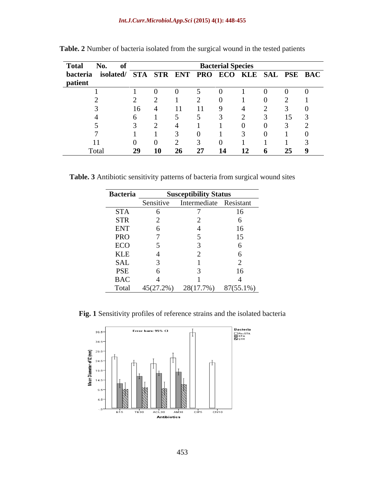| Total No.      |       |      |  |  | <b>Bacterial Species</b> |    |                                                        |
|----------------|-------|------|--|--|--------------------------|----|--------------------------------------------------------|
|                |       |      |  |  |                          |    | bacteria isolated/ STA STR ENT PRO ECO KLE SAL PSE BAC |
| patient<br>. . |       |      |  |  |                          |    |                                                        |
|                |       |      |  |  |                          |    |                                                        |
|                |       |      |  |  |                          |    |                                                        |
|                |       | 16 I |  |  |                          |    |                                                        |
|                |       |      |  |  |                          | 15 |                                                        |
|                |       |      |  |  |                          |    |                                                        |
|                |       |      |  |  |                          |    |                                                        |
|                |       |      |  |  |                          |    |                                                        |
|                | Total |      |  |  |                          |    |                                                        |

**Table. 2** Number of bacteria isolated from the surgical wound in the tested patients

**Table. 3** Antibiotic sensitivity patterns of bacteria from surgical wound sites

| <b>Bacteria</b> |           | <b>Susceptibility Status</b> |           |
|-----------------|-----------|------------------------------|-----------|
|                 | Sensitive | Intermediate Resistant       |           |
| <b>STA</b>      |           |                              | 16.       |
| <b>STR</b>      |           |                              |           |
| <b>ENT</b>      |           |                              | 16.       |
| <b>PRO</b>      |           |                              |           |
| ECO             |           |                              |           |
| <b>KLE</b>      |           |                              |           |
| SAL             |           |                              |           |
| <b>PSE</b>      |           |                              | 16        |
| <b>BAC</b>      |           |                              |           |
| Total           | 45(27.2%) | 28(17.7%)                    | 87(55.1%) |

**Fig. 1** Sensitivity profiles of reference strains and the isolated bacteria

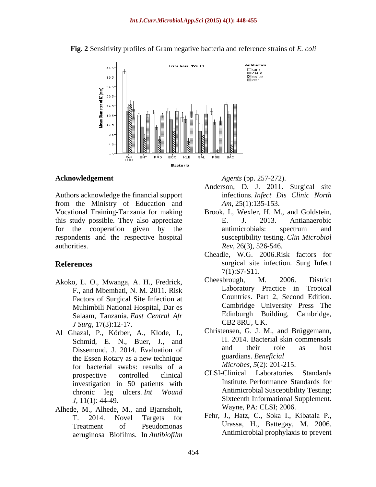

**Fig. 2** Sensitivity profiles of Gram negative bacteria and reference strains of *E. coli*

#### **Acknowledgement** *Agents* (pp. 257-272).

Authors acknowledge the financial support from the Ministry of Education and Vocational Training-Tanzania for making Brook, I., Wexler, H. M., and Goldstein, this study possible. They also appreciate E. J. 2013. Antianaerobic for the cooperation given by the respondents and the respective hospital authorities. *Rev*, 26(3), 526-546.

- F., and Mbembati, N. M. 2011. Risk Factors of Surgical Site Infection at Muhimbili National Hospital, Dar es Salaam, Tanzania. *East Central Afr J Surg*, 17(3):12-17.
- Al Ghazal, P., Körber, A., Klode, J., Dissemond, J. 2014. Evaluation of for bacterial swabs: results of a<br>
means of a means of a means of a standards (CLSI-Clinical Laboratories Standards) investigation in 50 patients with
- Alhede, M., Alhede, M., and Bjarnsholt, aeruginosa Biofilms. In *Antibiofilm*

- Anderson, D. J. 2011. Surgical site infections. *Infect Dis Clinic North Am*, 25(1):135-153.
- E. J. 2013. Antianaerobic antimicrobials: spectrum and susceptibility testing. *Clin Microbiol*
- **References** surgical site infection. Surg Infect Cheadle, W.G. 2006.Risk factors for 7(1):S7-S11.
- Akoko, L. O., Mwanga, A. H., Fredrick, Cheesbrough, M. 2006. District Laboratory Practice in Tropical Countries. Part 2, Second Edition. Cambridge University Press The Edinburgh Building, Cambridge, CB2 8RU, UK.
	- Schmid, E. N., Buer, J., and H. 2014. Bacterial skin commensals<br>Dissement L 2014. Evaluation of and their role as host the Essen Rotary as a new technique guardians. Beneficial Christensen, G. J. M., and Brüggemann, H. 2014. Bacterial skin commensals and their role as host guardians. *Beneficial Microbes*, *5*(2): 201-215.
	- prospective controlled clinical CLSI-Clinical Laboratories Standards chronic leg ulcers. *Int Wound J*, 11(1): 44-49.<br> **Sixteenth Informational Supplement.**<br> **Wayne, PA: CLSI; 2006.**<br> **Wayne, PA: CLSI; 2006.** CLSI-Clinical Laboratories Standards Institute. Performance Standards for Antimicrobial Susceptibility Testing; Sixteenth Informational Supplement. Wayne, PA: CLSI; 2006.
	- T. 2014. Novel Targets for Fehr, J., Hatz, C., Soka I., Kibatala P., Treatment of Pseudomonas Urassa, H., Battegay, M. 2006. Antimicrobial prophylaxis to prevent